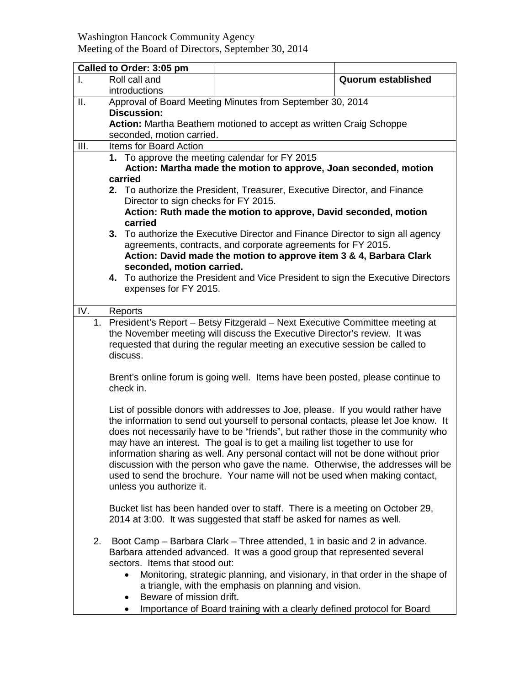Washington Hancock Community Agency Meeting of the Board of Directors, September 30, 2014

| Called to Order: 3:05 pm |                                                                                                                                                                                                                                                        |                                                                                                                                                                                                                                                                                                                                                                                                                                                                                                                                                                                              |                    |  |  |
|--------------------------|--------------------------------------------------------------------------------------------------------------------------------------------------------------------------------------------------------------------------------------------------------|----------------------------------------------------------------------------------------------------------------------------------------------------------------------------------------------------------------------------------------------------------------------------------------------------------------------------------------------------------------------------------------------------------------------------------------------------------------------------------------------------------------------------------------------------------------------------------------------|--------------------|--|--|
| T.                       | Roll call and<br>introductions                                                                                                                                                                                                                         |                                                                                                                                                                                                                                                                                                                                                                                                                                                                                                                                                                                              | Quorum established |  |  |
| ΙΙ.                      | Approval of Board Meeting Minutes from September 30, 2014                                                                                                                                                                                              |                                                                                                                                                                                                                                                                                                                                                                                                                                                                                                                                                                                              |                    |  |  |
|                          | <b>Discussion:</b>                                                                                                                                                                                                                                     |                                                                                                                                                                                                                                                                                                                                                                                                                                                                                                                                                                                              |                    |  |  |
|                          | Action: Martha Beathem motioned to accept as written Craig Schoppe                                                                                                                                                                                     |                                                                                                                                                                                                                                                                                                                                                                                                                                                                                                                                                                                              |                    |  |  |
|                          | seconded, motion carried.                                                                                                                                                                                                                              |                                                                                                                                                                                                                                                                                                                                                                                                                                                                                                                                                                                              |                    |  |  |
| III.                     | Items for Board Action<br>1. To approve the meeting calendar for FY 2015                                                                                                                                                                               |                                                                                                                                                                                                                                                                                                                                                                                                                                                                                                                                                                                              |                    |  |  |
|                          | Action: Martha made the motion to approve, Joan seconded, motion                                                                                                                                                                                       |                                                                                                                                                                                                                                                                                                                                                                                                                                                                                                                                                                                              |                    |  |  |
|                          | carried                                                                                                                                                                                                                                                |                                                                                                                                                                                                                                                                                                                                                                                                                                                                                                                                                                                              |                    |  |  |
|                          | 2. To authorize the President, Treasurer, Executive Director, and Finance                                                                                                                                                                              |                                                                                                                                                                                                                                                                                                                                                                                                                                                                                                                                                                                              |                    |  |  |
|                          | Director to sign checks for FY 2015.                                                                                                                                                                                                                   |                                                                                                                                                                                                                                                                                                                                                                                                                                                                                                                                                                                              |                    |  |  |
|                          | Action: Ruth made the motion to approve, David seconded, motion                                                                                                                                                                                        |                                                                                                                                                                                                                                                                                                                                                                                                                                                                                                                                                                                              |                    |  |  |
|                          | carried                                                                                                                                                                                                                                                |                                                                                                                                                                                                                                                                                                                                                                                                                                                                                                                                                                                              |                    |  |  |
|                          | 3. To authorize the Executive Director and Finance Director to sign all agency                                                                                                                                                                         |                                                                                                                                                                                                                                                                                                                                                                                                                                                                                                                                                                                              |                    |  |  |
|                          | agreements, contracts, and corporate agreements for FY 2015.<br>Action: David made the motion to approve item 3 & 4, Barbara Clark                                                                                                                     |                                                                                                                                                                                                                                                                                                                                                                                                                                                                                                                                                                                              |                    |  |  |
|                          | seconded, motion carried.                                                                                                                                                                                                                              |                                                                                                                                                                                                                                                                                                                                                                                                                                                                                                                                                                                              |                    |  |  |
|                          | 4. To authorize the President and Vice President to sign the Executive Directors                                                                                                                                                                       |                                                                                                                                                                                                                                                                                                                                                                                                                                                                                                                                                                                              |                    |  |  |
|                          | expenses for FY 2015.                                                                                                                                                                                                                                  |                                                                                                                                                                                                                                                                                                                                                                                                                                                                                                                                                                                              |                    |  |  |
|                          |                                                                                                                                                                                                                                                        |                                                                                                                                                                                                                                                                                                                                                                                                                                                                                                                                                                                              |                    |  |  |
| IV.                      | Reports                                                                                                                                                                                                                                                |                                                                                                                                                                                                                                                                                                                                                                                                                                                                                                                                                                                              |                    |  |  |
|                          | 1. President's Report - Betsy Fitzgerald - Next Executive Committee meeting at<br>the November meeting will discuss the Executive Director's review. It was<br>requested that during the regular meeting an executive session be called to<br>discuss. |                                                                                                                                                                                                                                                                                                                                                                                                                                                                                                                                                                                              |                    |  |  |
|                          | Brent's online forum is going well. Items have been posted, please continue to<br>check in.                                                                                                                                                            |                                                                                                                                                                                                                                                                                                                                                                                                                                                                                                                                                                                              |                    |  |  |
|                          | unless you authorize it.                                                                                                                                                                                                                               | List of possible donors with addresses to Joe, please. If you would rather have<br>the information to send out yourself to personal contacts, please let Joe know. It<br>does not necessarily have to be "friends", but rather those in the community who<br>may have an interest. The goal is to get a mailing list together to use for<br>information sharing as well. Any personal contact will not be done without prior<br>discussion with the person who gave the name. Otherwise, the addresses will be<br>used to send the brochure. Your name will not be used when making contact, |                    |  |  |
|                          |                                                                                                                                                                                                                                                        | Bucket list has been handed over to staff. There is a meeting on October 29,<br>2014 at 3:00. It was suggested that staff be asked for names as well.                                                                                                                                                                                                                                                                                                                                                                                                                                        |                    |  |  |
| 2.                       | Boot Camp – Barbara Clark – Three attended, 1 in basic and 2 in advance.<br>Barbara attended advanced. It was a good group that represented several<br>sectors. Items that stood out:                                                                  |                                                                                                                                                                                                                                                                                                                                                                                                                                                                                                                                                                                              |                    |  |  |
|                          | Monitoring, strategic planning, and visionary, in that order in the shape of<br>$\bullet$<br>a triangle, with the emphasis on planning and vision.<br>Beware of mission drift.<br>$\bullet$                                                            |                                                                                                                                                                                                                                                                                                                                                                                                                                                                                                                                                                                              |                    |  |  |
|                          |                                                                                                                                                                                                                                                        | Importance of Board training with a clearly defined protocol for Board                                                                                                                                                                                                                                                                                                                                                                                                                                                                                                                       |                    |  |  |